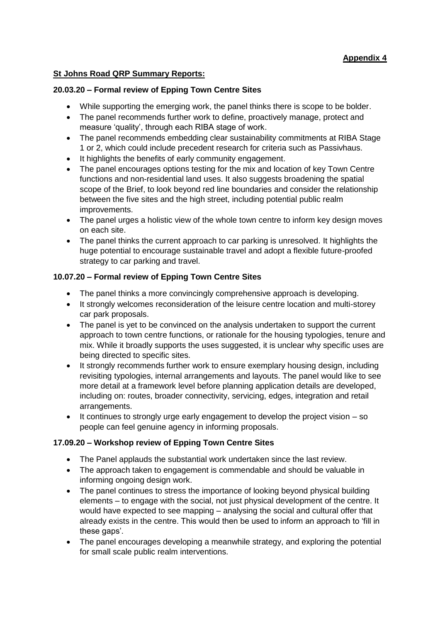# **Appendix 4**

### **St Johns Road QRP Summary Reports:**

#### **20.03.20 – Formal review of Epping Town Centre Sites**

- While supporting the emerging work, the panel thinks there is scope to be bolder.
- The panel recommends further work to define, proactively manage, protect and measure 'quality', through each RIBA stage of work.
- The panel recommends embedding clear sustainability commitments at RIBA Stage 1 or 2, which could include precedent research for criteria such as Passivhaus.
- It highlights the benefits of early community engagement.
- The panel encourages options testing for the mix and location of key Town Centre functions and non-residential land uses. It also suggests broadening the spatial scope of the Brief, to look beyond red line boundaries and consider the relationship between the five sites and the high street, including potential public realm improvements.
- The panel urges a holistic view of the whole town centre to inform key design moves on each site.
- The panel thinks the current approach to car parking is unresolved. It highlights the huge potential to encourage sustainable travel and adopt a flexible future-proofed strategy to car parking and travel.

### **10.07.20 – Formal review of Epping Town Centre Sites**

- The panel thinks a more convincingly comprehensive approach is developing.
- It strongly welcomes reconsideration of the leisure centre location and multi-storey car park proposals.
- The panel is yet to be convinced on the analysis undertaken to support the current approach to town centre functions, or rationale for the housing typologies, tenure and mix. While it broadly supports the uses suggested, it is unclear why specific uses are being directed to specific sites.
- It strongly recommends further work to ensure exemplary housing design, including revisiting typologies, internal arrangements and layouts. The panel would like to see more detail at a framework level before planning application details are developed, including on: routes, broader connectivity, servicing, edges, integration and retail arrangements.
- It continues to strongly urge early engagement to develop the project vision so people can feel genuine agency in informing proposals.

## **17.09.20 – Workshop review of Epping Town Centre Sites**

- The Panel applauds the substantial work undertaken since the last review.
- The approach taken to engagement is commendable and should be valuable in informing ongoing design work.
- The panel continues to stress the importance of looking beyond physical building elements – to engage with the social, not just physical development of the centre. It would have expected to see mapping – analysing the social and cultural offer that already exists in the centre. This would then be used to inform an approach to 'fill in these gaps'.
- The panel encourages developing a meanwhile strategy, and exploring the potential for small scale public realm interventions.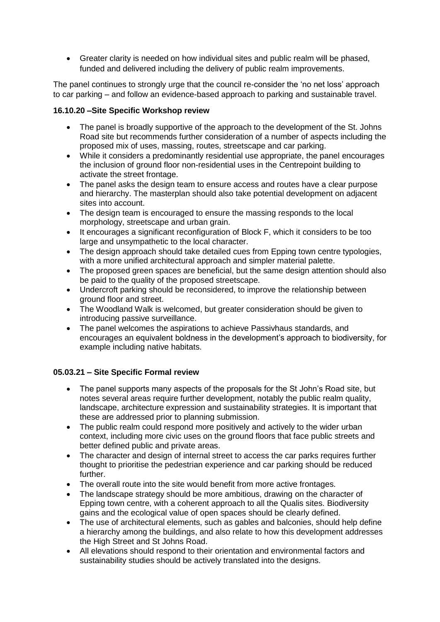Greater clarity is needed on how individual sites and public realm will be phased, funded and delivered including the delivery of public realm improvements.

The panel continues to strongly urge that the council re-consider the 'no net loss' approach to car parking – and follow an evidence-based approach to parking and sustainable travel.

### **16.10.20 –Site Specific Workshop review**

- The panel is broadly supportive of the approach to the development of the St. Johns Road site but recommends further consideration of a number of aspects including the proposed mix of uses, massing, routes, streetscape and car parking.
- While it considers a predominantly residential use appropriate, the panel encourages the inclusion of ground floor non-residential uses in the Centrepoint building to activate the street frontage.
- The panel asks the design team to ensure access and routes have a clear purpose and hierarchy. The masterplan should also take potential development on adjacent sites into account.
- The design team is encouraged to ensure the massing responds to the local morphology, streetscape and urban grain.
- It encourages a significant reconfiguration of Block F, which it considers to be too large and unsympathetic to the local character.
- The design approach should take detailed cues from Epping town centre typologies, with a more unified architectural approach and simpler material palette.
- The proposed green spaces are beneficial, but the same design attention should also be paid to the quality of the proposed streetscape.
- Undercroft parking should be reconsidered, to improve the relationship between ground floor and street.
- The Woodland Walk is welcomed, but greater consideration should be given to introducing passive surveillance.
- The panel welcomes the aspirations to achieve Passivhaus standards, and encourages an equivalent boldness in the development's approach to biodiversity, for example including native habitats.

#### **05.03.21 – Site Specific Formal review**

- The panel supports many aspects of the proposals for the St John's Road site, but notes several areas require further development, notably the public realm quality, landscape, architecture expression and sustainability strategies. It is important that these are addressed prior to planning submission.
- The public realm could respond more positively and actively to the wider urban context, including more civic uses on the ground floors that face public streets and better defined public and private areas.
- The character and design of internal street to access the car parks requires further thought to prioritise the pedestrian experience and car parking should be reduced further.
- The overall route into the site would benefit from more active frontages.
- The landscape strategy should be more ambitious, drawing on the character of Epping town centre, with a coherent approach to all the Qualis sites. Biodiversity gains and the ecological value of open spaces should be clearly defined.
- The use of architectural elements, such as gables and balconies, should help define a hierarchy among the buildings, and also relate to how this development addresses the High Street and St Johns Road.
- All elevations should respond to their orientation and environmental factors and sustainability studies should be actively translated into the designs.